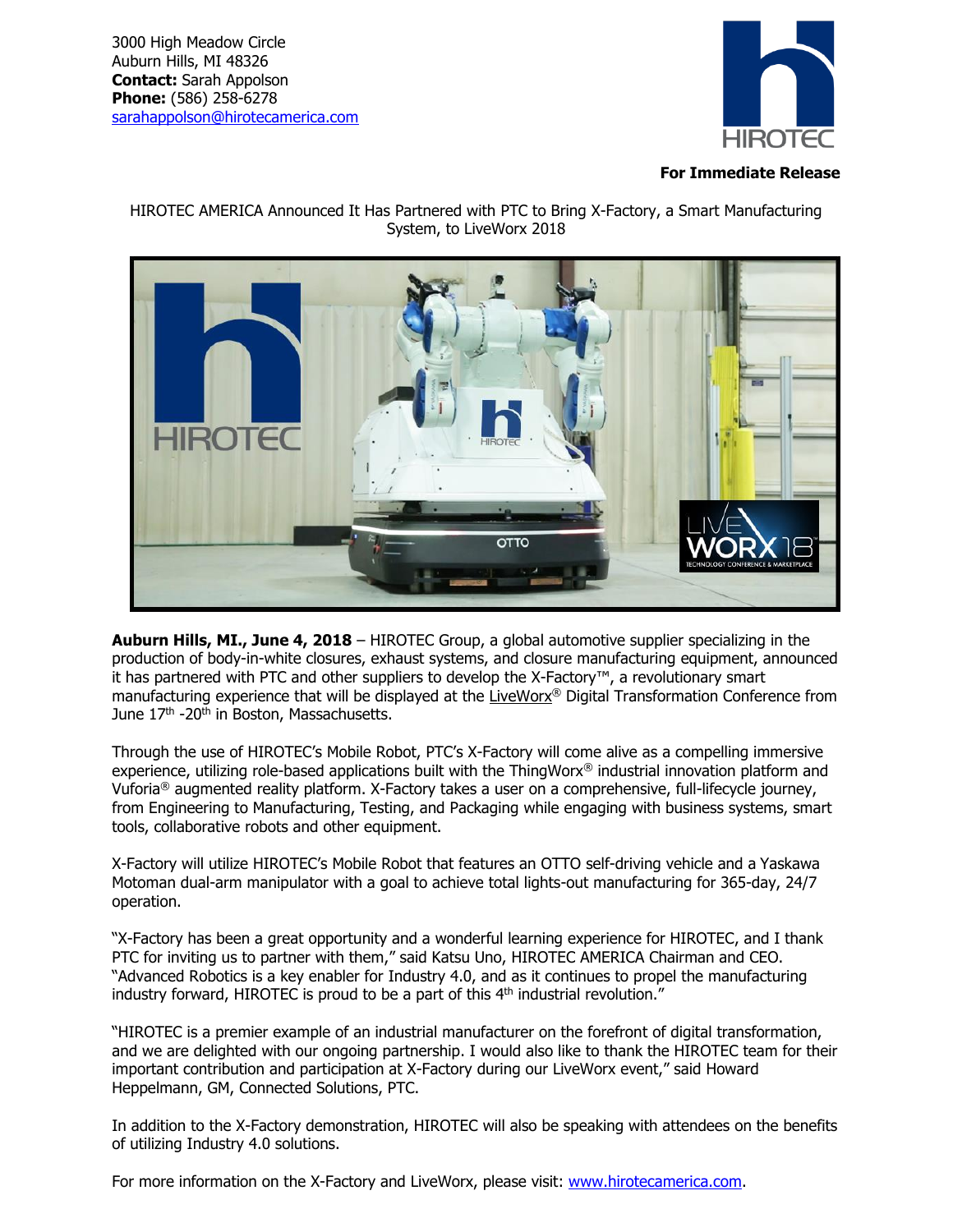

## **For Immediate Release**

HIROTEC AMERICA Announced It Has Partnered with PTC to Bring X-Factory, a Smart Manufacturing System, to LiveWorx 2018



**Auburn Hills, MI., June 4, 2018** – HIROTEC Group, a global automotive supplier specializing in the production of body-in-white closures, exhaust systems, and closure manufacturing equipment, announced it has partnered with PTC and other suppliers to develop the X-Factory™, a revolutionary smart manufacturing experience that will be displayed at the [LiveWorx](https://www.liveworx.com/)® Digital Transformation Conference from June 17<sup>th</sup> -20<sup>th</sup> in Boston, Massachusetts.

Through the use of HIROTEC's Mobile Robot, PTC's X-Factory will come alive as a compelling immersive experience, utilizing role-based applications built with the ThingWorx® industrial innovation platform and Vuforia® augmented reality platform. X-Factory takes a user on a comprehensive, full-lifecycle journey, from Engineering to Manufacturing, Testing, and Packaging while engaging with business systems, smart tools, collaborative robots and other equipment.

X-Factory will utilize HIROTEC's Mobile Robot that features an OTTO self-driving vehicle and a Yaskawa Motoman dual-arm manipulator with a goal to achieve total lights-out manufacturing for 365-day, 24/7 operation.

"X-Factory has been a great opportunity and a wonderful learning experience for HIROTEC, and I thank PTC for inviting us to partner with them," said Katsu Uno, HIROTEC AMERICA Chairman and CEO. "Advanced Robotics is a key enabler for Industry 4.0, and as it continues to propel the manufacturing industry forward, HIROTEC is proud to be a part of this 4<sup>th</sup> industrial revolution."

"HIROTEC is a premier example of an industrial manufacturer on the forefront of digital transformation, and we are delighted with our ongoing partnership. I would also like to thank the HIROTEC team for their important contribution and participation at X-Factory during our LiveWorx event," said Howard Heppelmann, GM, Connected Solutions, PTC.

In addition to the X-Factory demonstration, HIROTEC will also be speaking with attendees on the benefits of utilizing Industry 4.0 solutions.

For more information on the X-Factory and LiveWorx, please visit: [www.hirotecamerica.com.](http://www.hirotecamerica.com/)